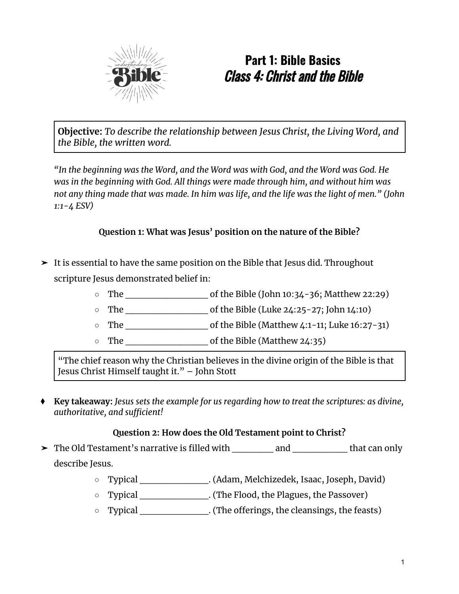

# **Part 1: Bible Basics** Class 4: Christ and the Bible

**Objective:** *To describe the relationship between Jesus Christ, the Living Word, and the Bible, the written word.*

*"In the beginning was the Word, and the Word was with God, and the Word was God. He was in the beginning with God. All things were made through him, and without him was* not any thing made that was made. In him was life, and the life was the light of men." (John *1:1-4 ESV)*

# **Question 1: What was Jesus' position on the nature of the Bible?**

- ➤ It is essential to have the same position on the Bible that Jesus did. Throughout scripture Jesus demonstrated belief in:
	- $\circ$  The  $\qquad \qquad$  of the Bible (John 10:34-36; Matthew 22:29)
	- $\circ$  The  $\circ$  of the Bible (Luke 24:25-27; John 14:10)
	- The \_\_\_\_\_\_\_\_\_\_\_\_ of the Bible (Matthew 4:1-11; Luke 16:27-31)
	- The contract of the Bible (Matthew 24:35)

"The chief reason why the Christian believes in the divine origin of the Bible is that Jesus Christ Himself taught it." – John Stott

⧫ **Key takeaway:** *Jesus sets the example for us regarding how to treat the scriptures: as divine, authoritative, and sufficient!*

## **Question 2: How does the Old Testament point to Christ?**

- ► The Old Testament's narrative is filled with and that can only describe Jesus.
	- Typical \_\_\_\_\_\_\_\_\_\_. (Adam, Melchizedek, Isaac, Joseph, David)
	- Typical \_\_\_\_\_\_\_\_\_\_. (The Flood, the Plagues, the Passover)
	- Typical \_\_\_\_\_\_\_\_\_\_. (The offerings, the cleansings, the feasts)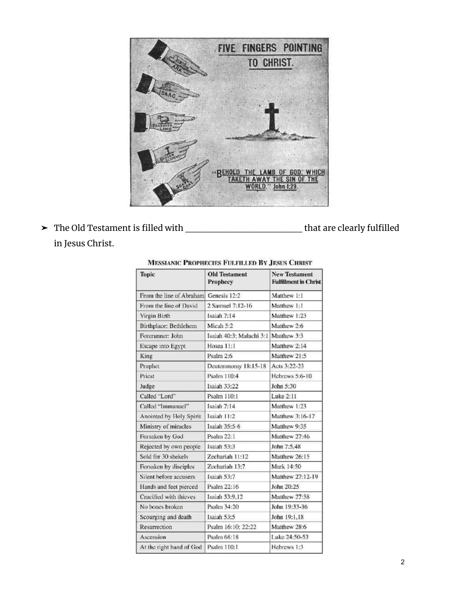

➤ The Old Testament is filled with \_\_\_\_\_\_\_\_\_\_\_\_\_\_\_\_\_ that are clearly fulfilled in Jesus Christ.

| Topic                                 | <b>Old Testament</b><br>Prophecy | <b>New Testament</b><br><b>Fulfillment in Christ</b> |
|---------------------------------------|----------------------------------|------------------------------------------------------|
| From the line of Abraham Genesis 12:2 |                                  | Matthew 1:1                                          |
| From the line of David                | 2 Samuel 7:12-16                 | Matthew 1:1                                          |
| Virgin Birth                          | Isaiah 7:14                      | Matthew 1:23                                         |
| Birthplace: Bethlehem                 | Micah 5:2                        | Matthew 2:6                                          |
| Forerunner: John                      | Isaiah 40:3: Malachi 3:1         | Matthew 3:3                                          |
| Escape into Egypt                     | Hosea 11:1                       | Matthew 2:14                                         |
| King                                  | Psalm 2:6                        | Matthew 21:5                                         |
| Prophet                               | Deuteronomy 18:15-18             | Acts 3:22-23                                         |
| Priest                                | Psalm 110:4                      | Hebrews 5:6-10                                       |
| Judge                                 | Isaiah 33:22                     | John 5:30                                            |
| Called "Lord"                         | Psalm 110:1                      | Luke 2:11                                            |
| Called "Immanuel"                     | Isaiah 7:14                      | Matthew 1:23                                         |
| Anointed by Holy Spirit               | Isaiah 11:2                      | Matthew 3:16-17                                      |
| Ministry of miracles                  | Isaiah 35:5-6                    | Matthew 9:35                                         |
| Forsaken by God                       | Psalm 22:1                       | Matthew 27:46                                        |
| Rejected by own people                | Isaiah 53:3                      | John 7:5.48                                          |
| Sold for 30 shekels                   | Zechariah 11:12                  | Matthew 26:15                                        |
| Forsaken by disciples                 | Zechariah 13:7                   | Mark 14:50                                           |
| Silent before accusers                | Isaiah 53:7                      | Matthew 27:12-19                                     |
| Hands and feet pierced                | Psalm 22:16                      | John 20:25                                           |
| Crucified with thieves                | Isaiah 53:9,12                   | Matthew 27:38                                        |
| No bones broken                       | Psalm 34:20                      | John 19:33-36                                        |
| Scourging and death                   | Isaiah 53:5                      | John 19:1,18                                         |
| Resurrection                          | Psalm 16:10; 22:22               | Matthew 28:6                                         |
| Ascension                             | Psalm 68:18                      | Luke 24:50-53                                        |
| At the right hand of God              | Psalm 110:1                      | Hebrews 1:3                                          |

### **MESSIANIC PROPHECIES FULFILLED BY JESUS CHRIST**